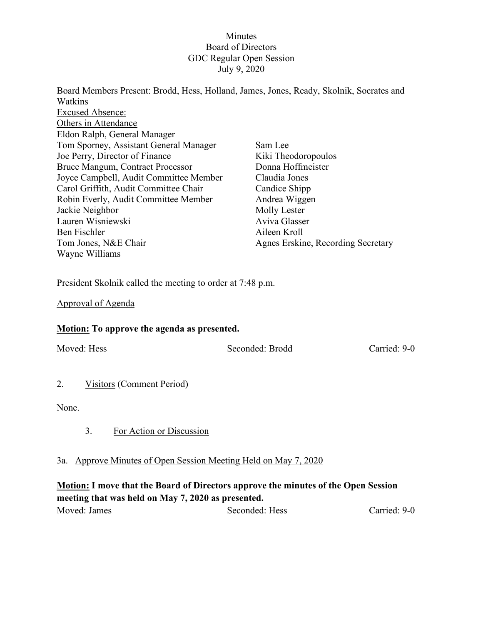## **Minutes** Board of Directors GDC Regular Open Session July 9, 2020

Board Members Present: Brodd, Hess, Holland, James, Jones, Ready, Skolnik, Socrates and Watkins Excused Absence: Others in Attendance Eldon Ralph, General Manager Tom Sporney, Assistant General Manager Joe Perry, Director of Finance Bruce Mangum, Contract Processor Joyce Campbell, Audit Committee Member Carol Griffith, Audit Committee Chair Robin Everly, Audit Committee Member Jackie Neighbor Lauren Wisniewski Ben Fischler Tom Jones, N&E Chair Wayne Williams Sam Lee Kiki Theodoropoulos Donna Hoffmeister Claudia Jones Candice Shipp Andrea Wiggen Molly Lester Aviva Glasser Aileen Kroll Agnes Erskine, Recording Secretary

President Skolnik called the meeting to order at 7:48 p.m.

Approval of Agenda

## **Motion: To approve the agenda as presented.**

| Moved: Hess |                                  | Seconded: Brodd | Carried: 9-0 |
|-------------|----------------------------------|-----------------|--------------|
|             |                                  |                 |              |
| 2.          | <b>Visitors</b> (Comment Period) |                 |              |
| None.       |                                  |                 |              |

3. For Action or Discussion

## 3a. Approve Minutes of Open Session Meeting Held on May 7, 2020

# **Motion: I move that the Board of Directors approve the minutes of the Open Session meeting that was held on May 7, 2020 as presented.**

| Moved: James | Seconded: Hess | Carried: 9-0 |
|--------------|----------------|--------------|
|              |                |              |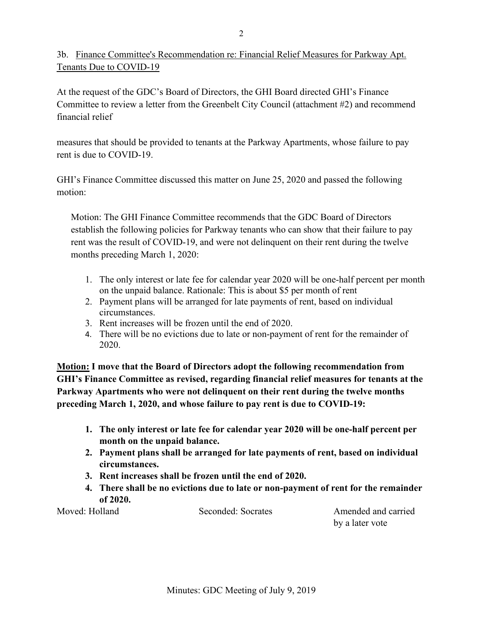# 3b. Finance Committee's Recommendation re: Financial Relief Measures for Parkway Apt. Tenants Due to COVID-19

At the request of the GDC's Board of Directors, the GHI Board directed GHI's Finance Committee to review a letter from the Greenbelt City Council (attachment #2) and recommend financial relief

measures that should be provided to tenants at the Parkway Apartments, whose failure to pay rent is due to COVID-19.

GHI's Finance Committee discussed this matter on June 25, 2020 and passed the following motion:

Motion: The GHI Finance Committee recommends that the GDC Board of Directors establish the following policies for Parkway tenants who can show that their failure to pay rent was the result of COVID-19, and were not delinquent on their rent during the twelve months preceding March 1, 2020:

- 1. The only interest or late fee for calendar year 2020 will be one-half percent per month on the unpaid balance. Rationale: This is about \$5 per month of rent
- 2. Payment plans will be arranged for late payments of rent, based on individual circumstances.
- 3. Rent increases will be frozen until the end of 2020.
- 4. There will be no evictions due to late or non-payment of rent for the remainder of 2020.

**Motion: I move that the Board of Directors adopt the following recommendation from GHI's Finance Committee as revised, regarding financial relief measures for tenants at the Parkway Apartments who were not delinquent on their rent during the twelve months preceding March 1, 2020, and whose failure to pay rent is due to COVID-19:**

- **1. The only interest or late fee for calendar year 2020 will be one-half percent per month on the unpaid balance.**
- **2. Payment plans shall be arranged for late payments of rent, based on individual circumstances.**
- **3. Rent increases shall be frozen until the end of 2020.**
- **4. There shall be no evictions due to late or non-payment of rent for the remainder of 2020.**

Moved: Holland Seconded: Socrates Amended and carried by a later vote